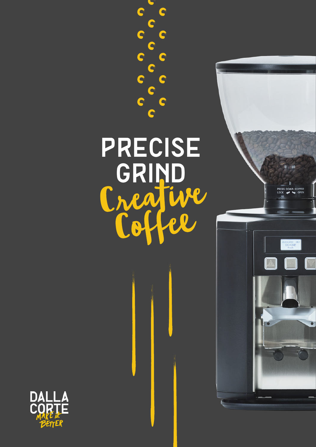

 $\bullet$ 

 $\bullet$ 

C

 $\bullet$